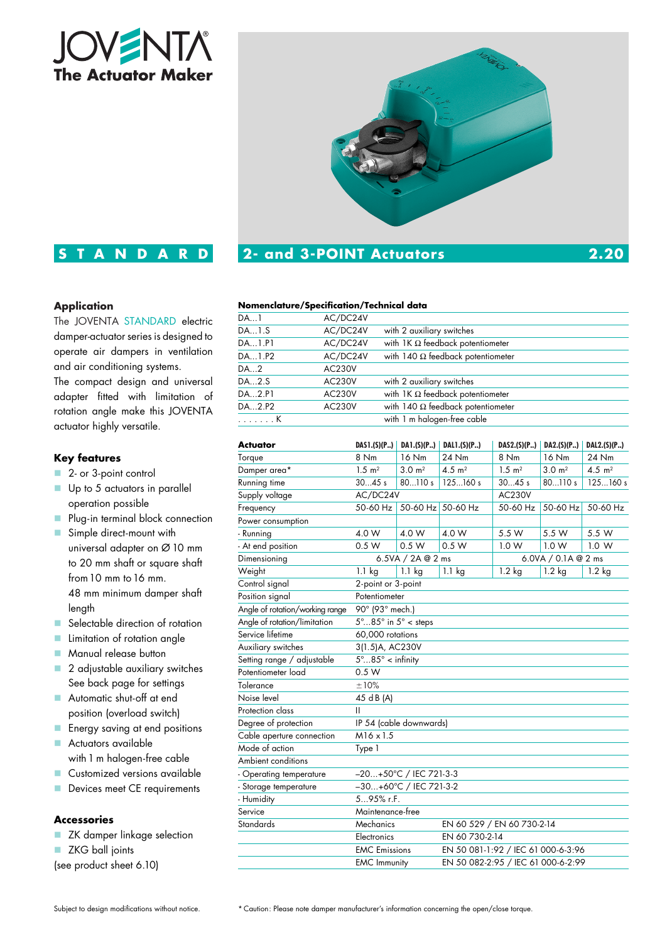



### **Nomenclature/Specification/Technical data**

| D electric                | DA1    | AC/DC24V      |                                          |
|---------------------------|--------|---------------|------------------------------------------|
| esigned to<br>ventilation | DA1.S  | AC/DC24V      | with 2 auxiliary switches                |
|                           | DA1.P1 | AC/DC24V      | with $1K \Omega$ feedback potentiometer  |
|                           | DA1.P2 | AC/DC24V      | with 140 $\Omega$ feedback potentiometer |
| ns.                       | DA2    | <b>AC230V</b> |                                          |
| universal                 | DA2.S  | <b>AC230V</b> | with 2 auxiliary switches                |
| tation of                 | DA2.P1 | <b>AC230V</b> | with $1K \Omega$ feedback potentiometer  |
| JOVENTA                   | DA2.P2 | <b>AC230V</b> | with 140 $\Omega$ feedback potentiometer |
|                           | . K    |               | with 1 m halogen-free cable              |

|                                                            |                    |                                    |                                                                                          |                    | DAL2.(S)(P)                 |  |  |
|------------------------------------------------------------|--------------------|------------------------------------|------------------------------------------------------------------------------------------|--------------------|-----------------------------|--|--|
| 8 Nm                                                       | 16 Nm              | 24 Nm                              | 8 Nm                                                                                     | 16 Nm              | 24 Nm                       |  |  |
| $1.5 \text{ m}^2$                                          | 3.0 m <sup>2</sup> | 4.5 $m2$                           | $1.5 \text{ m}^2$                                                                        | 3.0 m <sup>2</sup> | 4.5 $m2$                    |  |  |
| 3045s                                                      | 80110 s            | 125160 s                           | 3045s                                                                                    | 80110 s            | 125160 s                    |  |  |
| AC/DC24V                                                   |                    | <b>AC230V</b>                      |                                                                                          |                    |                             |  |  |
| 50-60 Hz                                                   |                    |                                    | 50-60 Hz                                                                                 | 50-60 Hz           | 50-60 Hz                    |  |  |
|                                                            |                    |                                    |                                                                                          |                    |                             |  |  |
| 4.0 W                                                      | 4.0 W              | 4.0 W                              | 5.5 W                                                                                    | 5.5 W              | 5.5 W                       |  |  |
| 0.5 W                                                      | 0.5 W              | 0.5 W                              | 1.0 W                                                                                    | 1.0 W              | 1.0 W                       |  |  |
| 6.5VA / 2A @ 2 ms                                          |                    |                                    | 6.0VA / 0.1A @ 2 ms                                                                      |                    |                             |  |  |
| $1.1$ kg                                                   | $1.1$ kg           | $1.1$ kg                           | 1.2 kg                                                                                   | $1.2$ kg           | $1.2$ kg                    |  |  |
| 2-point or 3-point                                         |                    |                                    |                                                                                          |                    |                             |  |  |
| Potentiometer                                              |                    |                                    |                                                                                          |                    |                             |  |  |
| 90° (93° mech.)                                            |                    |                                    |                                                                                          |                    |                             |  |  |
| $5^\circ$ 85 $^\circ$ in $5^\circ$ < steps                 |                    |                                    |                                                                                          |                    |                             |  |  |
| 60,000 rotations                                           |                    |                                    |                                                                                          |                    |                             |  |  |
| 3(1.5)A, AC230V                                            |                    |                                    |                                                                                          |                    |                             |  |  |
| $5^\circ$ $85^\circ$ < infinity                            |                    |                                    |                                                                                          |                    |                             |  |  |
| 0.5 W                                                      |                    |                                    |                                                                                          |                    |                             |  |  |
| ±10%                                                       |                    |                                    |                                                                                          |                    |                             |  |  |
| 45 d B (A)                                                 |                    |                                    |                                                                                          |                    |                             |  |  |
| Ш                                                          |                    |                                    |                                                                                          |                    |                             |  |  |
| IP 54 (cable downwards)                                    |                    |                                    |                                                                                          |                    |                             |  |  |
| $M16 \times 1.5$                                           |                    |                                    |                                                                                          |                    |                             |  |  |
| Type 1                                                     |                    |                                    |                                                                                          |                    |                             |  |  |
|                                                            |                    |                                    |                                                                                          |                    |                             |  |  |
|                                                            |                    |                                    |                                                                                          |                    |                             |  |  |
| -30+60°C / IEC 721-3-2                                     |                    |                                    |                                                                                          |                    |                             |  |  |
| 595% r.F.                                                  |                    |                                    |                                                                                          |                    |                             |  |  |
| Maintenance-free                                           |                    |                                    |                                                                                          |                    |                             |  |  |
| Mechanics<br>EN 60 529 / EN 60 730-2-14                    |                    |                                    |                                                                                          |                    |                             |  |  |
| Electronics<br>EN 60 730-2-14                              |                    |                                    |                                                                                          |                    |                             |  |  |
| <b>EMC</b> Emissions<br>EN 50 081-1:92 / IEC 61 000-6-3:96 |                    |                                    |                                                                                          |                    |                             |  |  |
|                                                            |                    | EN 50 082-2:95 / IEC 61 000-6-2:99 |                                                                                          |                    |                             |  |  |
|                                                            |                    | <b>EMC</b> Immunity                | DAS1.(S)(P.)   DAI.(S)(P.)<br>DAL1.(S)(P)<br>50-60 Hz 50-60 Hz<br>-20+50°C / IEC 721-3-3 |                    | DAS2.(S)(P.)<br>DA2.(S)(P.) |  |  |

# **Application**

The JOVENTA STANDAR damper-actuator series is de operate air dampers in v and air conditioning systen

**STANDARD**

The compact design and adapter fitted with limit rotation angle make this J actuator highly versatile.

### **Key features**

- 2- or 3-point control
- Up to 5 actuators in parallel operation possible
- **Plug-in terminal block connection**
- Simple direct-mount with universal adapter on Ø 10 mm to 20 mm shaft or square shaft from10 mm to16 mm. 48 mm minimum damper shaft length
- Selectable direction of rotation
- **Limitation of rotation angle**
- **Manual release button**
- 2 adjustable auxiliary switches See back page for settings
- Automatic shut-off at end position (overload switch)
- **Energy saving at end positions**
- **Actuators available** with 1 m halogen-free cable
- **Customized versions available**
- Devices meet CE requirements

# **Accessories**

- ZK damper linkage selection
- **ZKG** ball joints
- (see product sheet 6.10)